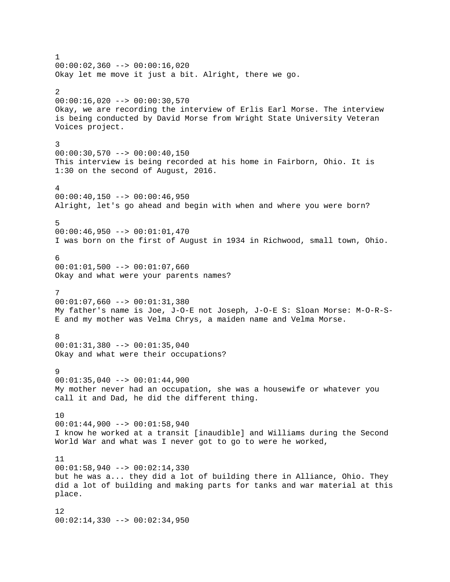1  $00:00:02,360$  -->  $00:00:16,020$ Okay let me move it just a bit. Alright, there we go.  $\mathcal{L}$  $00:00:16,020$  -->  $00:00:30,570$ Okay, we are recording the interview of Erlis Earl Morse. The interview is being conducted by David Morse from Wright State University Veteran Voices project. 3  $00:00:30,570$  -->  $00:00:40,150$ This interview is being recorded at his home in Fairborn, Ohio. It is 1:30 on the second of August, 2016. 4  $00:00:40,150$  -->  $00:00:46,950$ Alright, let's go ahead and begin with when and where you were born? 5 00:00:46,950 --> 00:01:01,470 I was born on the first of August in 1934 in Richwood, small town, Ohio. 6 00:01:01,500 --> 00:01:07,660 Okay and what were your parents names? 7  $00:01:07,660$  -->  $00:01:31,380$ My father's name is Joe, J-O-E not Joseph, J-O-E S: Sloan Morse: M-O-R-S-E and my mother was Velma Chrys, a maiden name and Velma Morse. **8** 00:01:31,380 --> 00:01:35,040 Okay and what were their occupations? 9 00:01:35,040 --> 00:01:44,900 My mother never had an occupation, she was a housewife or whatever you call it and Dad, he did the different thing. 10 00:01:44,900 --> 00:01:58,940 I know he worked at a transit [inaudible] and Williams during the Second World War and what was I never got to go to were he worked, 11  $00:01:58,940$  -->  $00:02:14,330$ but he was a... they did a lot of building there in Alliance, Ohio. They did a lot of building and making parts for tanks and war material at this place. 12  $00:02:14,330$  -->  $00:02:34,950$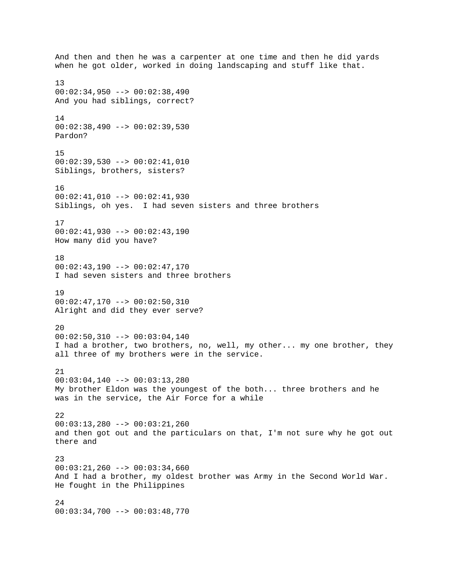And then and then he was a carpenter at one time and then he did yards when he got older, worked in doing landscaping and stuff like that. 13  $00:02:34,950$  -->  $00:02:38,490$ And you had siblings, correct? 14 00:02:38,490 --> 00:02:39,530 Pardon? 15 00:02:39,530 --> 00:02:41,010 Siblings, brothers, sisters? 16 00:02:41,010 --> 00:02:41,930 Siblings, oh yes. I had seven sisters and three brothers 17  $00:02:41,930$  -->  $00:02:43,190$ How many did you have? 18 00:02:43,190 --> 00:02:47,170 I had seven sisters and three brothers 19 00:02:47,170 --> 00:02:50,310 Alright and did they ever serve? 20  $00:02:50,310$  -->  $00:03:04,140$ I had a brother, two brothers, no, well, my other... my one brother, they all three of my brothers were in the service. 21 00:03:04,140 --> 00:03:13,280 My brother Eldon was the youngest of the both... three brothers and he was in the service, the Air Force for a while 22 00:03:13,280 --> 00:03:21,260 and then got out and the particulars on that, I'm not sure why he got out there and 23  $00:03:21,260$  -->  $00:03:34,660$ And I had a brother, my oldest brother was Army in the Second World War. He fought in the Philippines 24 00:03:34,700 --> 00:03:48,770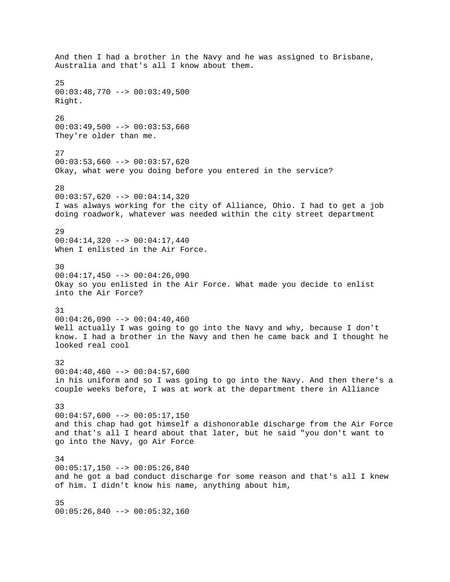And then I had a brother in the Navy and he was assigned to Brisbane, Australia and that's all I know about them. 25  $00:03:48,770$  -->  $00:03:49,500$ Right. 26  $00:03:49,500$  -->  $00:03:53,660$ They're older than me. 27  $00:03:53,660$  -->  $00:03:57,620$ Okay, what were you doing before you entered in the service? 28 00:03:57,620 --> 00:04:14,320 I was always working for the city of Alliance, Ohio. I had to get a job doing roadwork, whatever was needed within the city street department 29 00:04:14,320 --> 00:04:17,440 When I enlisted in the Air Force. 30  $00:04:17,450$  -->  $00:04:26,090$ Okay so you enlisted in the Air Force. What made you decide to enlist into the Air Force? 31  $00:04:26,090$  -->  $00:04:40,460$ Well actually I was going to go into the Navy and why, because I don't know. I had a brother in the Navy and then he came back and I thought he looked real cool 32 00:04:40,460 --> 00:04:57,600 in his uniform and so I was going to go into the Navy. And then there's a couple weeks before, I was at work at the department there in Alliance 33  $00:04:57,600$  -->  $00:05:17,150$ and this chap had got himself a dishonorable discharge from the Air Force and that's all I heard about that later, but he said "you don't want to go into the Navy, go Air Force 34  $00:05:17,150$  -->  $00:05:26,840$ and he got a bad conduct discharge for some reason and that's all I knew of him. I didn't know his name, anything about him, 35 00:05:26,840 --> 00:05:32,160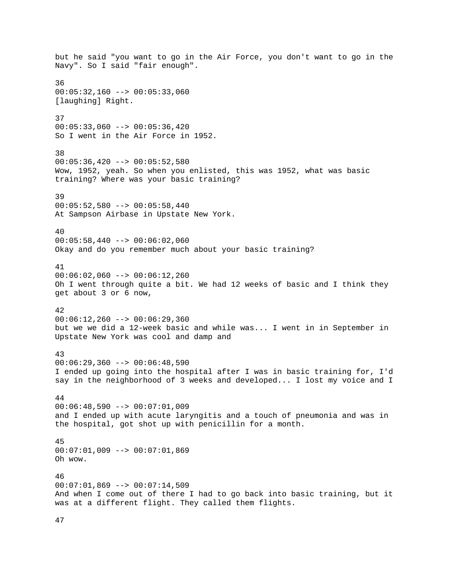but he said "you want to go in the Air Force, you don't want to go in the Navy". So I said "fair enough". 36  $00:05:32,160$  -->  $00:05:33,060$ [laughing] Right. 37  $00:05:33,060$  -->  $00:05:36,420$ So I went in the Air Force in 1952. 38 00:05:36,420 --> 00:05:52,580 Wow, 1952, yeah. So when you enlisted, this was 1952, what was basic training? Where was your basic training? 39 00:05:52,580 --> 00:05:58,440 At Sampson Airbase in Upstate New York. 40  $00:05:58,440$  -->  $00:06:02,060$ Okay and do you remember much about your basic training? 41  $00:06:02,060$  -->  $00:06:12,260$ Oh I went through quite a bit. We had 12 weeks of basic and I think they get about 3 or 6 now, 42  $00:06:12,260$  -->  $00:06:29,360$ but we we did a 12-week basic and while was... I went in in September in Upstate New York was cool and damp and 43  $00:06:29,360$  -->  $00:06:48,590$ I ended up going into the hospital after I was in basic training for, I'd say in the neighborhood of 3 weeks and developed... I lost my voice and I 44  $00:06:48,590$  -->  $00:07:01,009$ and I ended up with acute laryngitis and a touch of pneumonia and was in the hospital, got shot up with penicillin for a month. 45 00:07:01,009 --> 00:07:01,869 Oh wow. 46 00:07:01,869 --> 00:07:14,509 And when I come out of there I had to go back into basic training, but it was at a different flight. They called them flights.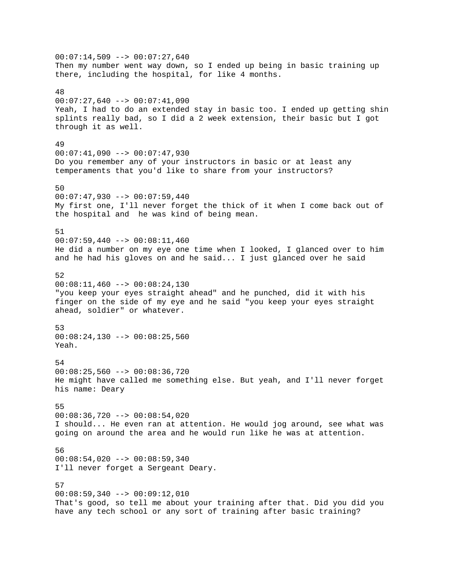$00:07:14,509$  -->  $00:07:27,640$ Then my number went way down, so I ended up being in basic training up there, including the hospital, for like 4 months. 48  $00:07:27,640$  -->  $00:07:41,090$ Yeah, I had to do an extended stay in basic too. I ended up getting shin splints really bad, so I did a 2 week extension, their basic but I got through it as well. 49  $00:07:41,090$  -->  $00:07:47,930$ Do you remember any of your instructors in basic or at least any temperaments that you'd like to share from your instructors? 50 00:07:47,930 --> 00:07:59,440 My first one, I'll never forget the thick of it when I come back out of the hospital and he was kind of being mean. 51 00:07:59,440 --> 00:08:11,460 He did a number on my eye one time when I looked, I glanced over to him and he had his gloves on and he said... I just glanced over he said 52  $00:08:11,460$  -->  $00:08:24,130$ "you keep your eyes straight ahead" and he punched, did it with his finger on the side of my eye and he said "you keep your eyes straight ahead, soldier" or whatever. 53  $00:08:24,130$  -->  $00:08:25,560$ Yeah. 54 00:08:25,560 --> 00:08:36,720 He might have called me something else. But yeah, and I'll never forget his name: Deary 55  $00:08:36,720$  -->  $00:08:54,020$ I should... He even ran at attention. He would jog around, see what was going on around the area and he would run like he was at attention. 56 00:08:54,020 --> 00:08:59,340 I'll never forget a Sergeant Deary. 57  $00:08:59,340$  -->  $00:09:12,010$ That's good, so tell me about your training after that. Did you did you have any tech school or any sort of training after basic training?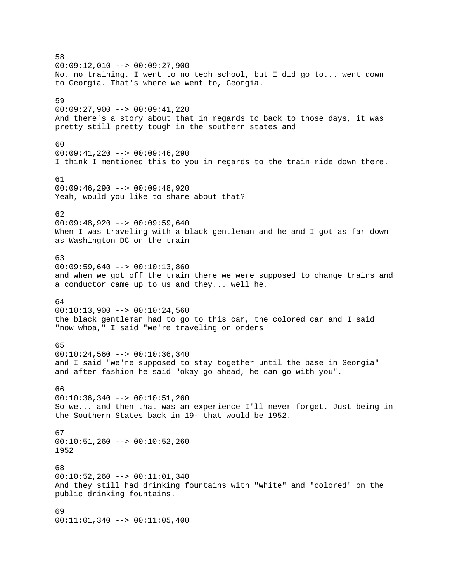58  $00:09:12,010$  -->  $00:09:27,900$ No, no training. I went to no tech school, but I did go to... went down to Georgia. That's where we went to, Georgia. 59 00:09:27,900 --> 00:09:41,220 And there's a story about that in regards to back to those days, it was pretty still pretty tough in the southern states and 60 00:09:41,220 --> 00:09:46,290 I think I mentioned this to you in regards to the train ride down there. 61  $00:09:46,290$  -->  $00:09:48,920$ Yeah, would you like to share about that? 62  $00:09:48,920$  -->  $00:09:59,640$ When I was traveling with a black gentleman and he and I got as far down as Washington DC on the train 63  $00:09:59,640$  -->  $00:10:13,860$ and when we got off the train there we were supposed to change trains and a conductor came up to us and they... well he, 64 00:10:13,900 --> 00:10:24,560 the black gentleman had to go to this car, the colored car and I said "now whoa," I said "we're traveling on orders 65  $00:10:24,560$  -->  $00:10:36,340$ and I said "we're supposed to stay together until the base in Georgia" and after fashion he said "okay go ahead, he can go with you". 66  $00:10:36,340$  -->  $00:10:51,260$ So we... and then that was an experience I'll never forget. Just being in the Southern States back in 19- that would be 1952. 67 00:10:51,260 --> 00:10:52,260 1952 68 00:10:52,260 --> 00:11:01,340 And they still had drinking fountains with "white" and "colored" on the public drinking fountains. 69 00:11:01,340 --> 00:11:05,400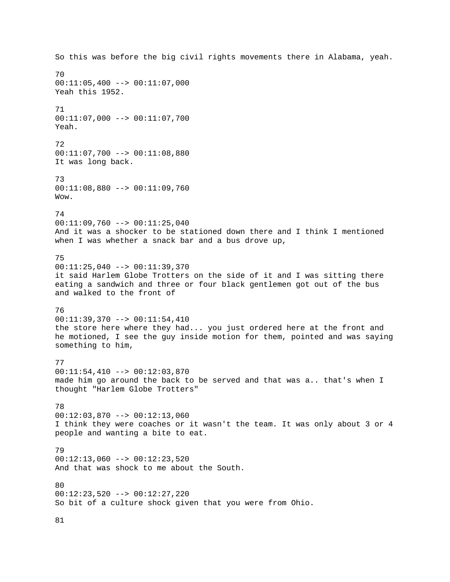So this was before the big civil rights movements there in Alabama, yeah. 70 00:11:05,400 --> 00:11:07,000 Yeah this 1952. 71 00:11:07,000 --> 00:11:07,700 Yeah. 72 00:11:07,700 --> 00:11:08,880 It was long back. 73 00:11:08,880 --> 00:11:09,760 Wow. 74  $00:11:09,760$  -->  $00:11:25,040$ And it was a shocker to be stationed down there and I think I mentioned when I was whether a snack bar and a bus drove up, 75 00:11:25,040 --> 00:11:39,370 it said Harlem Globe Trotters on the side of it and I was sitting there eating a sandwich and three or four black gentlemen got out of the bus and walked to the front of 76 00:11:39,370 --> 00:11:54,410 the store here where they had... you just ordered here at the front and he motioned, I see the guy inside motion for them, pointed and was saying something to him, 77 00:11:54,410 --> 00:12:03,870 made him go around the back to be served and that was a.. that's when I thought "Harlem Globe Trotters" 78 00:12:03,870 --> 00:12:13,060 I think they were coaches or it wasn't the team. It was only about 3 or 4 people and wanting a bite to eat. 79  $00:12:13,060$  -->  $00:12:23,520$ And that was shock to me about the South. 80 00:12:23,520 --> 00:12:27,220 So bit of a culture shock given that you were from Ohio.

81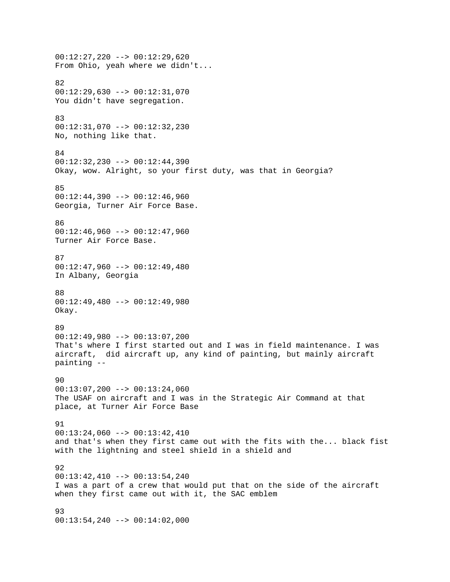00:12:27,220 --> 00:12:29,620 From Ohio, yeah where we didn't... 82 00:12:29,630 --> 00:12:31,070 You didn't have segregation. 83 00:12:31,070 --> 00:12:32,230 No, nothing like that. 84 00:12:32,230 --> 00:12:44,390 Okay, wow. Alright, so your first duty, was that in Georgia? 85 00:12:44,390 --> 00:12:46,960 Georgia, Turner Air Force Base. 86  $00:12:46,960$  -->  $00:12:47,960$ Turner Air Force Base. 87 00:12:47,960 --> 00:12:49,480 In Albany, Georgia 88 00:12:49,480 --> 00:12:49,980 Okay. 89 00:12:49,980 --> 00:13:07,200 That's where I first started out and I was in field maintenance. I was aircraft, did aircraft up, any kind of painting, but mainly aircraft painting -- 90  $00:13:07,200$  -->  $00:13:24,060$ The USAF on aircraft and I was in the Strategic Air Command at that place, at Turner Air Force Base 91 00:13:24,060 --> 00:13:42,410 and that's when they first came out with the fits with the... black fist with the lightning and steel shield in a shield and 92 00:13:42,410 --> 00:13:54,240 I was a part of a crew that would put that on the side of the aircraft when they first came out with it, the SAC emblem 93 00:13:54,240 --> 00:14:02,000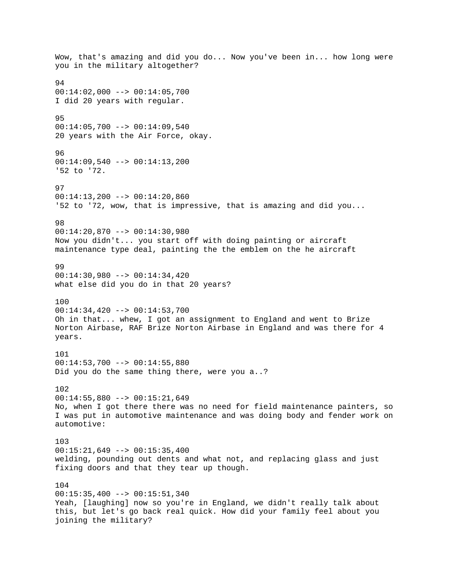Wow, that's amazing and did you do... Now you've been in... how long were you in the military altogether? 94 00:14:02,000 --> 00:14:05,700 I did 20 years with regular. 95  $00:14:05,700$  -->  $00:14:09,540$ 20 years with the Air Force, okay. 96 00:14:09,540 --> 00:14:13,200 '52 to '72. 97 00:14:13,200 --> 00:14:20,860 '52 to '72, wow, that is impressive, that is amazing and did you... 98 00:14:20,870 --> 00:14:30,980 Now you didn't... you start off with doing painting or aircraft maintenance type deal, painting the the emblem on the he aircraft 99 00:14:30,980 --> 00:14:34,420 what else did you do in that 20 years? 100 00:14:34,420 --> 00:14:53,700 Oh in that... whew, I got an assignment to England and went to Brize Norton Airbase, RAF Brize Norton Airbase in England and was there for 4 years. 101  $00:14:53,700$  -->  $00:14:55,880$ Did you do the same thing there, were you a..? 102 00:14:55,880 --> 00:15:21,649 No, when I got there there was no need for field maintenance painters, so I was put in automotive maintenance and was doing body and fender work on automotive: 103 00:15:21,649 --> 00:15:35,400 welding, pounding out dents and what not, and replacing glass and just fixing doors and that they tear up though. 104  $00:15:35,400$  -->  $00:15:51,340$ Yeah, [laughing] now so you're in England, we didn't really talk about this, but let's go back real quick. How did your family feel about you joining the military?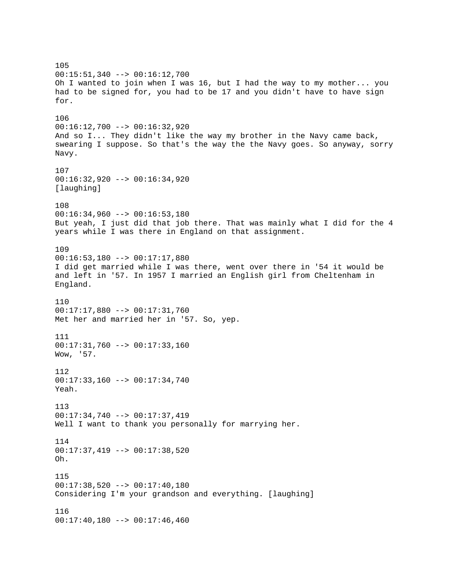105 00:15:51,340 --> 00:16:12,700 Oh I wanted to join when I was 16, but I had the way to my mother... you had to be signed for, you had to be 17 and you didn't have to have sign for. 106 00:16:12,700 --> 00:16:32,920 And so I... They didn't like the way my brother in the Navy came back, swearing I suppose. So that's the way the the Navy goes. So anyway, sorry Navy. 107 00:16:32,920 --> 00:16:34,920 [laughing] 108 00:16:34,960 --> 00:16:53,180 But yeah, I just did that job there. That was mainly what I did for the 4 years while I was there in England on that assignment. 109  $00:16:53,180$  -->  $00:17:17,880$ I did get married while I was there, went over there in '54 it would be and left in '57. In 1957 I married an English girl from Cheltenham in England. 110 00:17:17,880 --> 00:17:31,760 Met her and married her in '57. So, yep. 111 00:17:31,760 --> 00:17:33,160 Wow, '57. 112 00:17:33,160 --> 00:17:34,740 Yeah. 113 00:17:34,740 --> 00:17:37,419 Well I want to thank you personally for marrying her. 114 00:17:37,419 --> 00:17:38,520 Oh. 115 00:17:38,520 --> 00:17:40,180 Considering I'm your grandson and everything. [laughing] 116  $00:17:40,180$  -->  $00:17:46,460$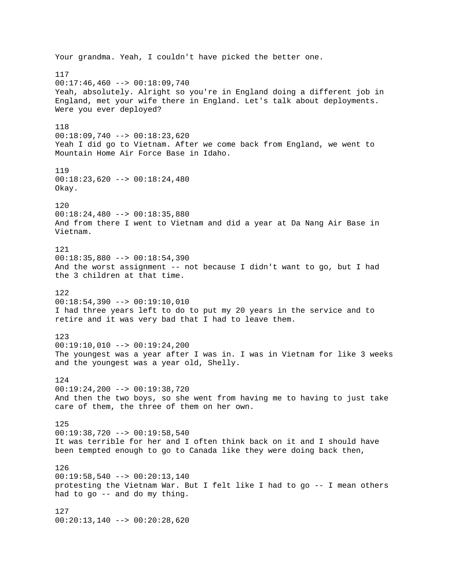Your grandma. Yeah, I couldn't have picked the better one. 117  $00:17:46,460$  -->  $00:18:09,740$ Yeah, absolutely. Alright so you're in England doing a different job in England, met your wife there in England. Let's talk about deployments. Were you ever deployed? 118 00:18:09,740 --> 00:18:23,620 Yeah I did go to Vietnam. After we come back from England, we went to Mountain Home Air Force Base in Idaho. 119  $00:18:23,620$  -->  $00:18:24,480$ Okay. 120 00:18:24,480 --> 00:18:35,880 And from there I went to Vietnam and did a year at Da Nang Air Base in Vietnam. 121 00:18:35,880 --> 00:18:54,390 And the worst assignment -- not because I didn't want to go, but I had the 3 children at that time. 122 00:18:54,390 --> 00:19:10,010 I had three years left to do to put my 20 years in the service and to retire and it was very bad that I had to leave them. 123  $00:19:10,010$  -->  $00:19:24,200$ The youngest was a year after I was in. I was in Vietnam for like 3 weeks and the youngest was a year old, Shelly. 124 00:19:24,200 --> 00:19:38,720 And then the two boys, so she went from having me to having to just take care of them, the three of them on her own. 125 00:19:38,720 --> 00:19:58,540 It was terrible for her and I often think back on it and I should have been tempted enough to go to Canada like they were doing back then, 126  $00:19:58,540$  -->  $00:20:13,140$ protesting the Vietnam War. But I felt like I had to go -- I mean others had to go -- and do my thing. 127 00:20:13,140 --> 00:20:28,620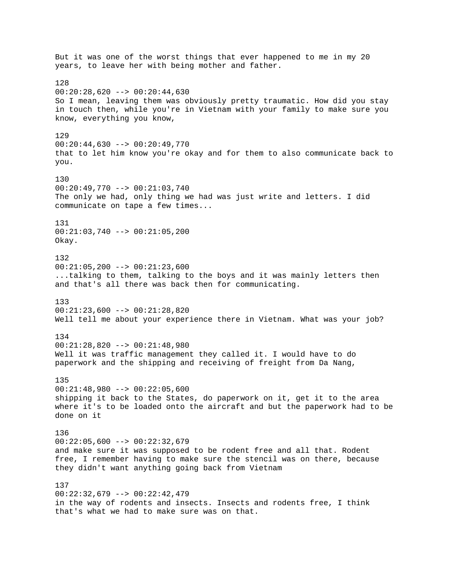But it was one of the worst things that ever happened to me in my 20 years, to leave her with being mother and father. 128  $00:20:28,620$  -->  $00:20:44,630$ So I mean, leaving them was obviously pretty traumatic. How did you stay in touch then, while you're in Vietnam with your family to make sure you know, everything you know, 129 00:20:44,630 --> 00:20:49,770 that to let him know you're okay and for them to also communicate back to you. 130 00:20:49,770 --> 00:21:03,740 The only we had, only thing we had was just write and letters. I did communicate on tape a few times... 131 00:21:03,740 --> 00:21:05,200 Okay. 132 00:21:05,200 --> 00:21:23,600 ...talking to them, talking to the boys and it was mainly letters then and that's all there was back then for communicating. 133 00:21:23,600 --> 00:21:28,820 Well tell me about your experience there in Vietnam. What was your job? 134 00:21:28,820 --> 00:21:48,980 Well it was traffic management they called it. I would have to do paperwork and the shipping and receiving of freight from Da Nang, 135 00:21:48,980 --> 00:22:05,600 shipping it back to the States, do paperwork on it, get it to the area where it's to be loaded onto the aircraft and but the paperwork had to be done on it 136 00:22:05,600 --> 00:22:32,679 and make sure it was supposed to be rodent free and all that. Rodent free, I remember having to make sure the stencil was on there, because they didn't want anything going back from Vietnam 137  $00:22:32,679$  -->  $00:22:42,479$ in the way of rodents and insects. Insects and rodents free, I think that's what we had to make sure was on that.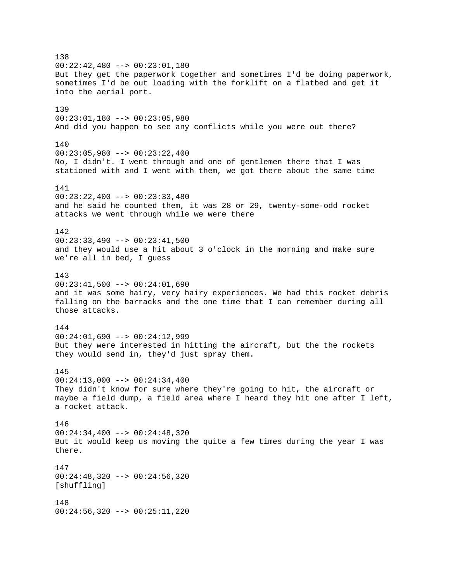138 00:22:42,480 --> 00:23:01,180 But they get the paperwork together and sometimes I'd be doing paperwork, sometimes I'd be out loading with the forklift on a flatbed and get it into the aerial port. 139 00:23:01,180 --> 00:23:05,980 And did you happen to see any conflicts while you were out there? 140 00:23:05,980 --> 00:23:22,400 No, I didn't. I went through and one of gentlemen there that I was stationed with and I went with them, we got there about the same time 141 00:23:22,400 --> 00:23:33,480 and he said he counted them, it was 28 or 29, twenty-some-odd rocket attacks we went through while we were there 142 00:23:33,490 --> 00:23:41,500 and they would use a hit about 3 o'clock in the morning and make sure we're all in bed, I guess 143  $00:23:41,500$  -->  $00:24:01,690$ and it was some hairy, very hairy experiences. We had this rocket debris falling on the barracks and the one time that I can remember during all those attacks. 144 00:24:01,690 --> 00:24:12,999 But they were interested in hitting the aircraft, but the the rockets they would send in, they'd just spray them. 145 00:24:13,000 --> 00:24:34,400 They didn't know for sure where they're going to hit, the aircraft or maybe a field dump, a field area where I heard they hit one after I left, a rocket attack. 146 00:24:34,400 --> 00:24:48,320 But it would keep us moving the quite a few times during the year I was there. 147 00:24:48,320 --> 00:24:56,320 [shuffling] 148 00:24:56,320 --> 00:25:11,220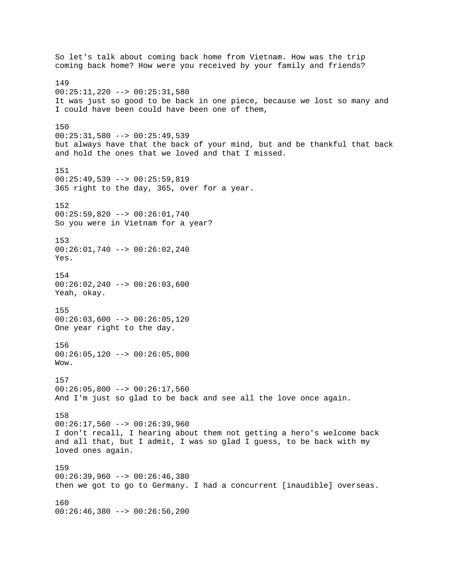So let's talk about coming back home from Vietnam. How was the trip coming back home? How were you received by your family and friends? 149 00:25:11,220 --> 00:25:31,580 It was just so good to be back in one piece, because we lost so many and I could have been could have been one of them, 150 00:25:31,580 --> 00:25:49,539 but always have that the back of your mind, but and be thankful that back and hold the ones that we loved and that I missed. 151  $00:25:49,539$  -->  $00:25:59,819$ 365 right to the day, 365, over for a year. 152 00:25:59,820 --> 00:26:01,740 So you were in Vietnam for a year? 153 00:26:01,740 --> 00:26:02,240 Yes. 154  $00:26:02,240$  -->  $00:26:03,600$ Yeah, okay. 155 00:26:03,600 --> 00:26:05,120 One year right to the day. 156  $00:26:05,120$  -->  $00:26:05,800$ Wow. 157  $00:26:05,800$  -->  $00:26:17,560$ And I'm just so glad to be back and see all the love once again. 158 00:26:17,560 --> 00:26:39,960 I don't recall, I hearing about them not getting a hero's welcome back and all that, but I admit, I was so glad I guess, to be back with my loved ones again. 159 00:26:39,960 --> 00:26:46,380 then we got to go to Germany. I had a concurrent [inaudible] overseas. 160 00:26:46,380 --> 00:26:56,200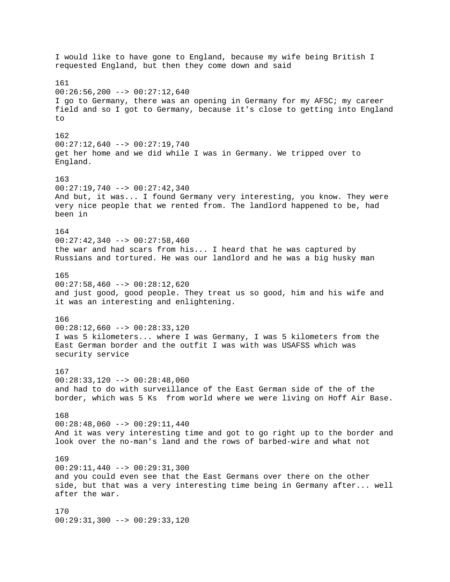I would like to have gone to England, because my wife being British I requested England, but then they come down and said 161  $00:26:56,200$  -->  $00:27:12,640$ I go to Germany, there was an opening in Germany for my AFSC; my career field and so I got to Germany, because it's close to getting into England to 162 00:27:12,640 --> 00:27:19,740 get her home and we did while I was in Germany. We tripped over to England. 163  $00:27:19,740$  -->  $00:27:42,340$ And but, it was... I found Germany very interesting, you know. They were very nice people that we rented from. The landlord happened to be, had been in 164 00:27:42,340 --> 00:27:58,460 the war and had scars from his... I heard that he was captured by Russians and tortured. He was our landlord and he was a big husky man 165  $00:27:58,460$  -->  $00:28:12,620$ and just good, good people. They treat us so good, him and his wife and it was an interesting and enlightening. 166  $00:28:12,660$  -->  $00:28:33,120$ I was 5 kilometers... where I was Germany, I was 5 kilometers from the East German border and the outfit I was with was USAFSS which was security service 167 00:28:33,120 --> 00:28:48,060 and had to do with surveillance of the East German side of the of the border, which was 5 Ks from world where we were living on Hoff Air Base. 168 00:28:48,060 --> 00:29:11,440 And it was very interesting time and got to go right up to the border and look over the no-man's land and the rows of barbed-wire and what not 169  $00:29:11,440$  -->  $00:29:31,300$ and you could even see that the East Germans over there on the other side, but that was a very interesting time being in Germany after... well after the war. 170 00:29:31,300 --> 00:29:33,120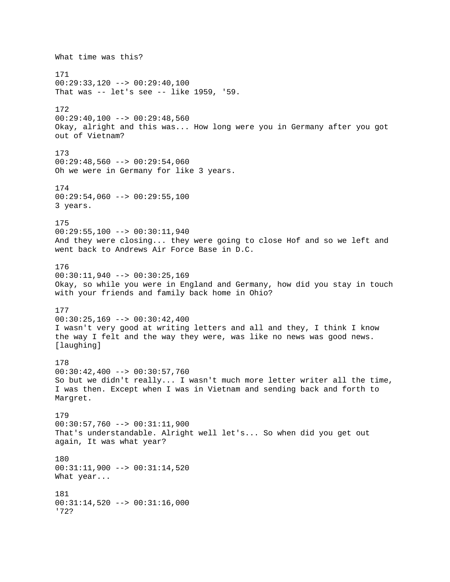What time was this? 171 00:29:33,120 --> 00:29:40,100 That was -- let's see -- like 1959, '59. 172  $00:29:40,100$  -->  $00:29:48,560$ Okay, alright and this was... How long were you in Germany after you got out of Vietnam? 173 00:29:48,560 --> 00:29:54,060 Oh we were in Germany for like 3 years. 174 00:29:54,060 --> 00:29:55,100 3 years. 175  $00:29:55,100$  -->  $00:30:11,940$ And they were closing... they were going to close Hof and so we left and went back to Andrews Air Force Base in D.C. 176  $00:30:11,940$  -->  $00:30:25,169$ Okay, so while you were in England and Germany, how did you stay in touch with your friends and family back home in Ohio? 177 00:30:25,169 --> 00:30:42,400 I wasn't very good at writing letters and all and they, I think I know the way I felt and the way they were, was like no news was good news. [laughing] 178 00:30:42,400 --> 00:30:57,760 So but we didn't really... I wasn't much more letter writer all the time, I was then. Except when I was in Vietnam and sending back and forth to Margret. 179 00:30:57,760 --> 00:31:11,900 That's understandable. Alright well let's... So when did you get out again, It was what year? 180 00:31:11,900 --> 00:31:14,520 What year... 181  $00:31:14,520$  -->  $00:31:16,000$ '72?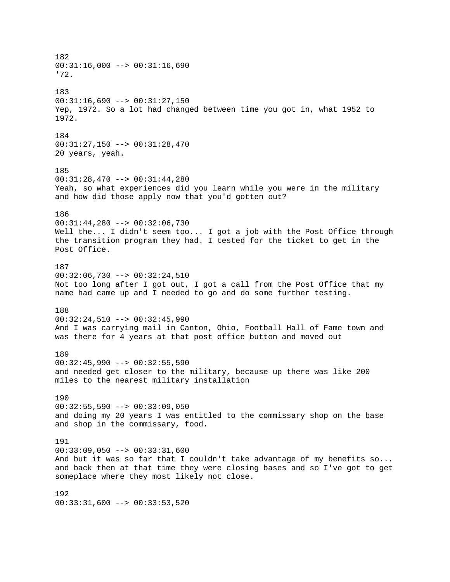182  $00:31:16,000$  -->  $00:31:16,690$ '72. 183  $00:31:16,690$  -->  $00:31:27,150$ Yep, 1972. So a lot had changed between time you got in, what 1952 to 1972. 184 00:31:27,150 --> 00:31:28,470 20 years, yeah. 185 00:31:28,470 --> 00:31:44,280 Yeah, so what experiences did you learn while you were in the military and how did those apply now that you'd gotten out? 186 00:31:44,280 --> 00:32:06,730 Well the... I didn't seem too... I got a job with the Post Office through the transition program they had. I tested for the ticket to get in the Post Office. 187  $00:32:06,730$  -->  $00:32:24,510$ Not too long after I got out, I got a call from the Post Office that my name had came up and I needed to go and do some further testing. 188 00:32:24,510 --> 00:32:45,990 And I was carrying mail in Canton, Ohio, Football Hall of Fame town and was there for 4 years at that post office button and moved out 189  $00:32:45,990$  -->  $00:32:55,590$ and needed get closer to the military, because up there was like 200 miles to the nearest military installation 190  $00:32:55,590$  -->  $00:33:09,050$ and doing my 20 years I was entitled to the commissary shop on the base and shop in the commissary, food. 191 00:33:09,050 --> 00:33:31,600 And but it was so far that I couldn't take advantage of my benefits so... and back then at that time they were closing bases and so I've got to get someplace where they most likely not close. 192  $00:33:31,600$  -->  $00:33:53,520$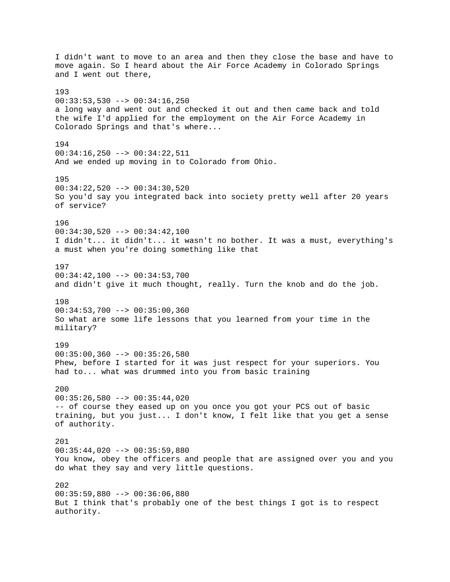I didn't want to move to an area and then they close the base and have to move again. So I heard about the Air Force Academy in Colorado Springs and I went out there, 193 00:33:53,530 --> 00:34:16,250 a long way and went out and checked it out and then came back and told the wife I'd applied for the employment on the Air Force Academy in Colorado Springs and that's where... 194  $00:34:16,250$  -->  $00:34:22,511$ And we ended up moving in to Colorado from Ohio. 195 00:34:22,520 --> 00:34:30,520 So you'd say you integrated back into society pretty well after 20 years of service? 196 00:34:30,520 --> 00:34:42,100 I didn't... it didn't... it wasn't no bother. It was a must, everything's a must when you're doing something like that 197 00:34:42,100 --> 00:34:53,700 and didn't give it much thought, really. Turn the knob and do the job. 198 00:34:53,700 --> 00:35:00,360 So what are some life lessons that you learned from your time in the military? 199  $00:35:00,360$  -->  $00:35:26,580$ Phew, before I started for it was just respect for your superiors. You had to... what was drummed into you from basic training 200 00:35:26,580 --> 00:35:44,020 -- of course they eased up on you once you got your PCS out of basic training, but you just... I don't know, I felt like that you get a sense of authority. 201 00:35:44,020 --> 00:35:59,880 You know, obey the officers and people that are assigned over you and you do what they say and very little questions. 202 00:35:59,880 --> 00:36:06,880 But I think that's probably one of the best things I got is to respect authority.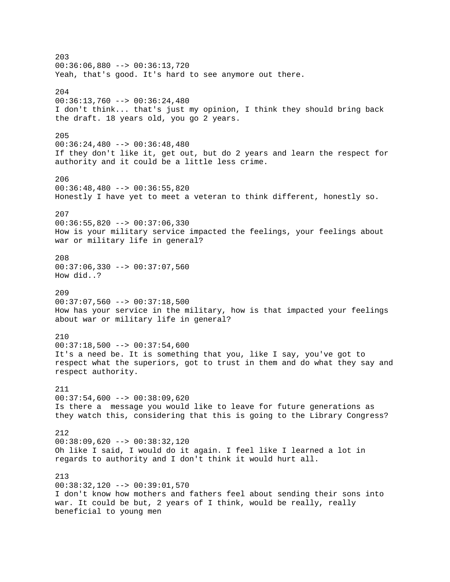203 00:36:06,880 --> 00:36:13,720 Yeah, that's good. It's hard to see anymore out there. 204 00:36:13,760 --> 00:36:24,480 I don't think... that's just my opinion, I think they should bring back the draft. 18 years old, you go 2 years. 205 00:36:24,480 --> 00:36:48,480 If they don't like it, get out, but do 2 years and learn the respect for authority and it could be a little less crime. 206 00:36:48,480 --> 00:36:55,820 Honestly I have yet to meet a veteran to think different, honestly so. 207  $00:36:55,820$  -->  $00:37:06,330$ How is your military service impacted the feelings, your feelings about war or military life in general? 208 00:37:06,330 --> 00:37:07,560 How did..? 209  $00:37:07,560$  -->  $00:37:18,500$ How has your service in the military, how is that impacted your feelings about war or military life in general? 210  $00:37:18,500$  -->  $00:37:54,600$ It's a need be. It is something that you, like I say, you've got to respect what the superiors, got to trust in them and do what they say and respect authority. 211 00:37:54,600 --> 00:38:09,620 Is there a message you would like to leave for future generations as they watch this, considering that this is going to the Library Congress? 212 00:38:09,620 --> 00:38:32,120 Oh like I said, I would do it again. I feel like I learned a lot in regards to authority and I don't think it would hurt all. 213 00:38:32,120 --> 00:39:01,570 I don't know how mothers and fathers feel about sending their sons into war. It could be but, 2 years of I think, would be really, really beneficial to young men